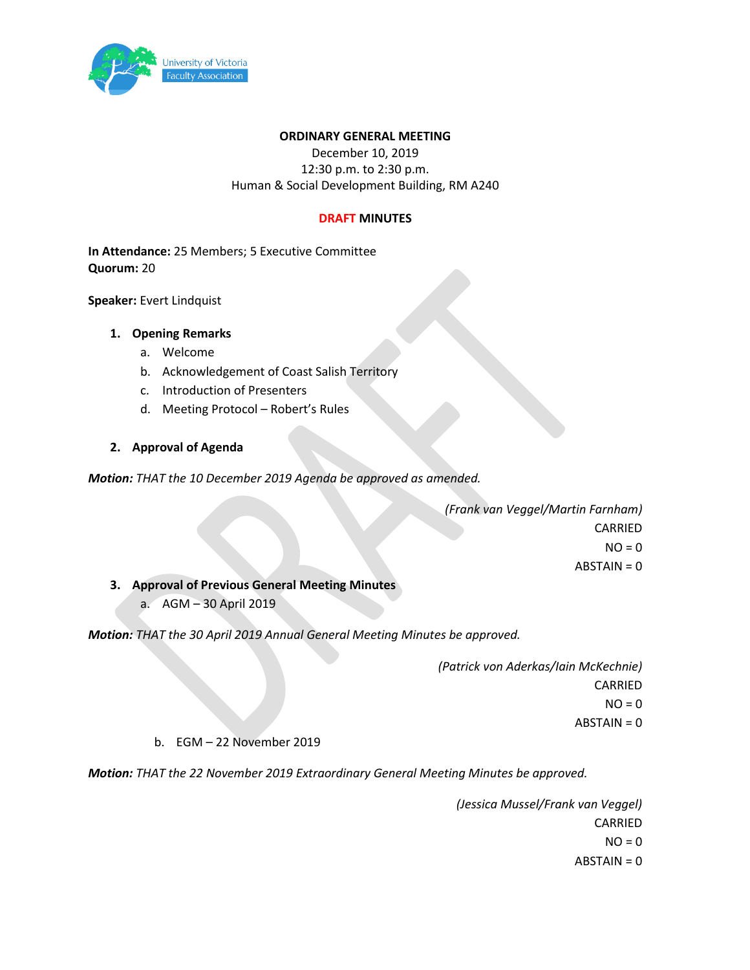

### **ORDINARY GENERAL MEETING**

December 10, 2019 12:30 p.m. to 2:30 p.m. Human & Social Development Building, RM A240

### **DRAFT MINUTES**

**In Attendance:** 25 Members; 5 Executive Committee **Quorum:** 20

**Speaker:** Evert Lindquist

## **1. Opening Remarks**

- a. Welcome
- b. Acknowledgement of Coast Salish Territory
- c. Introduction of Presenters
- d. Meeting Protocol Robert's Rules

## **2. Approval of Agenda**

*Motion: THAT the 10 December 2019 Agenda be approved as amended.*

*(Frank van Veggel/Martin Farnham)* CARRIED  $NO = 0$ ABSTAIN = 0

**3. Approval of Previous General Meeting Minutes**

a. AGM – 30 April 2019

*Motion: THAT the 30 April 2019 Annual General Meeting Minutes be approved.*

*(Patrick von Aderkas/Iain McKechnie)* CARRIED  $NO = 0$ ABSTAIN = 0

### b. EGM – 22 November 2019

*Motion: THAT the 22 November 2019 Extraordinary General Meeting Minutes be approved.*

*(Jessica Mussel/Frank van Veggel)* CARRIED  $NO = 0$ ABSTAIN = 0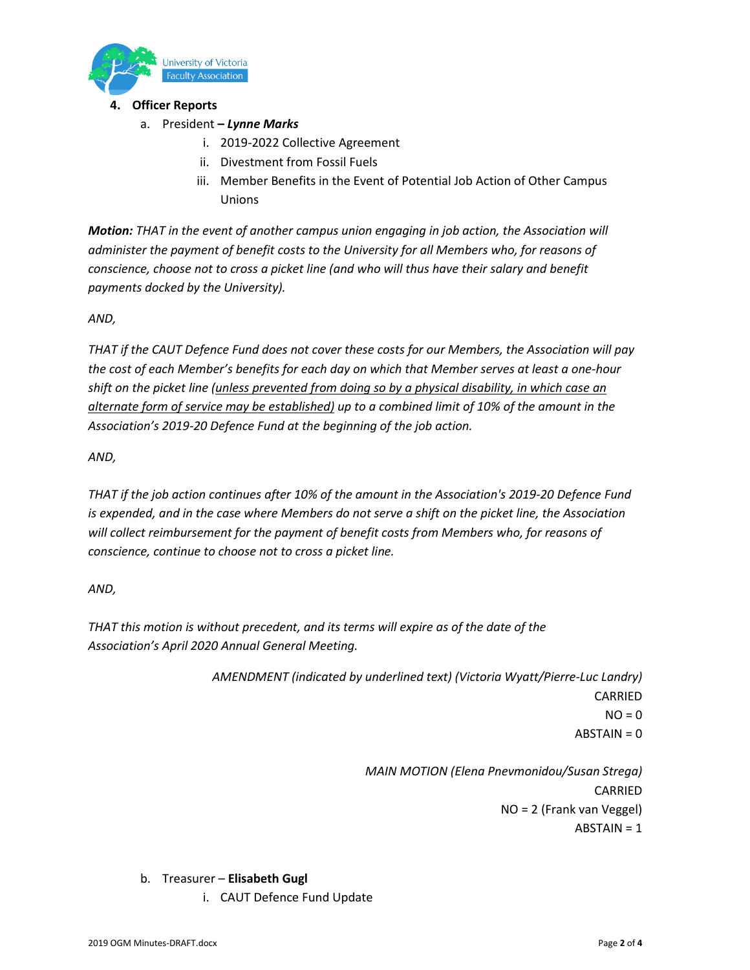

# **4. Officer Reports**

- a. President **–** *Lynne Marks*
	- i. 2019-2022 Collective Agreement
	- ii. Divestment from Fossil Fuels
	- iii. Member Benefits in the Event of Potential Job Action of Other Campus Unions

*Motion: THAT in the event of another campus union engaging in job action, the Association will administer the payment of benefit costs to the University for all Members who, for reasons of conscience, choose not to cross a picket line (and who will thus have their salary and benefit payments docked by the University).*

# *AND,*

*THAT if the CAUT Defence Fund does not cover these costs for our Members, the Association will pay the cost of each Member's benefits for each day on which that Member serves at least a one-hour shift on the picket line (unless prevented from doing so by a physical disability, in which case an alternate form of service may be established) up to a combined limit of 10% of the amount in the Association's 2019-20 Defence Fund at the beginning of the job action.*

*AND,*

*THAT if the job action continues after 10% of the amount in the Association's 2019-20 Defence Fund is expended, and in the case where Members do not serve a shift on the picket line, the Association will collect reimbursement for the payment of benefit costs from Members who, for reasons of conscience, continue to choose not to cross a picket line.*

*AND,*

*THAT this motion is without precedent, and its terms will expire as of the date of the Association's April 2020 Annual General Meeting.*

> *AMENDMENT (indicated by underlined text) (Victoria Wyatt/Pierre-Luc Landry)* CARRIED  $NO = 0$ ABSTAIN = 0

> > *MAIN MOTION (Elena Pnevmonidou/Susan Strega)* CARRIED NO = 2 (Frank van Veggel) ABSTAIN = 1

- b. Treasurer **Elisabeth Gugl**
	- i. CAUT Defence Fund Update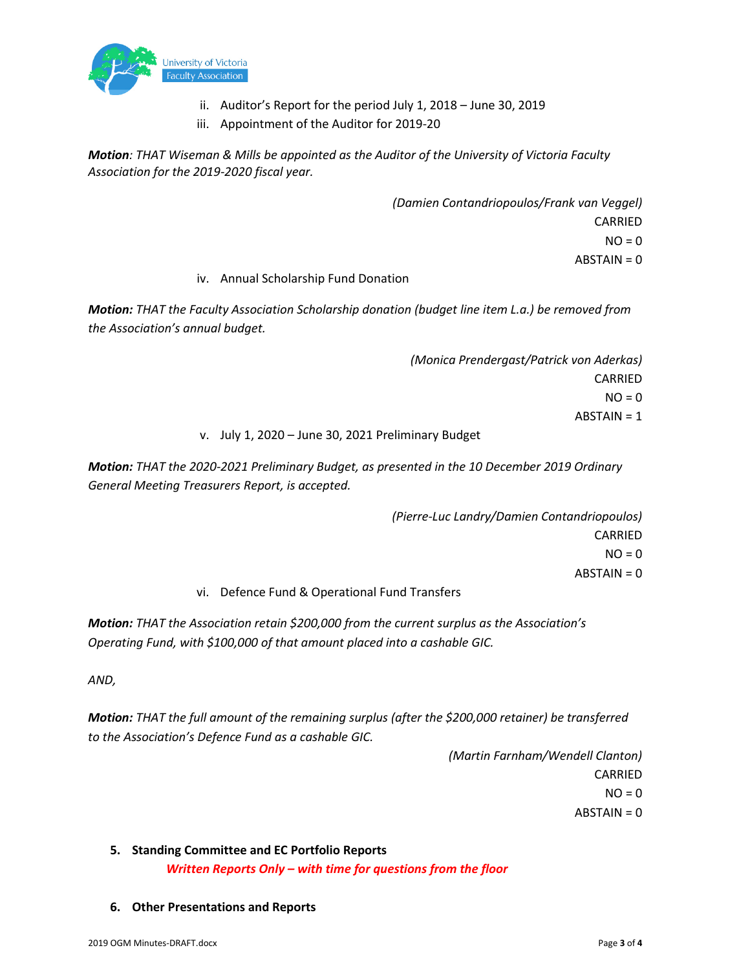

- ii. Auditor's Report for the period July 1, 2018 June 30, 2019
- iii. Appointment of the Auditor for 2019-20

*Motion: THAT Wiseman & Mills be appointed as the Auditor of the University of Victoria Faculty Association for the 2019-2020 fiscal year.*

> *(Damien Contandriopoulos/Frank van Veggel)* CARRIED  $NO = 0$  $ABSTAIN = 0$

## iv. Annual Scholarship Fund Donation

*Motion: THAT the Faculty Association Scholarship donation (budget line item L.a.) be removed from the Association's annual budget.*

> *(Monica Prendergast/Patrick von Aderkas)* CARRIED  $NO = 0$ ABSTAIN = 1

### v. July 1, 2020 – June 30, 2021 Preliminary Budget

*Motion: THAT the 2020-2021 Preliminary Budget, as presented in the 10 December 2019 Ordinary General Meeting Treasurers Report, is accepted.*

> *(Pierre-Luc Landry/Damien Contandriopoulos)* CARRIED  $NO = 0$ ABSTAIN = 0

# vi. Defence Fund & Operational Fund Transfers

*Motion: THAT the Association retain \$200,000 from the current surplus as the Association's Operating Fund, with \$100,000 of that amount placed into a cashable GIC.*

*AND,*

*Motion: THAT the full amount of the remaining surplus (after the \$200,000 retainer) be transferred to the Association's Defence Fund as a cashable GIC.*

> *(Martin Farnham/Wendell Clanton)* CARRIED  $NO = 0$  $ABSTAIN = 0$

- **5. Standing Committee and EC Portfolio Reports**  *Written Reports Only – with time for questions from the floor*
- **6. Other Presentations and Reports**